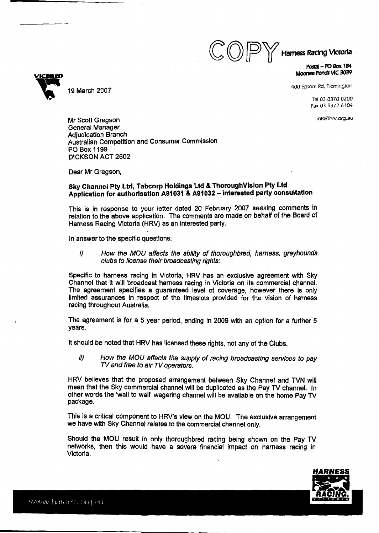$\bigodot$   $\bigodot$   $\bigodot$   $\bigodot$   $\bigodot$  Hamess Racing Victoria

**Postal - PO Box 184** ~oana **Ponds VIC** *3039* 

400 Epsom Rd, Flemington

Tel03 **8378** 0200 **Fax 03 9372** 6 **104** 

info@hrv.org.au

Mr Scott Gregson General Manager **Adjudication Branch** Australian Competition and Consumer Commission PO Box **1109 DICKSON** ACT 2602

Dear Mr Gregson,

## **Sky Channel Pty Ltd, Tabcorp Holdings Ltd** & **Thoroughvision Pty Ltd Application for authorisation A91 031** & **A91 032** - **interested party consultation**

This is in response to your letter dated 20 February 2007 seeking comments in relation to the above application. The comments are made on behalf of the Board of Harness Racing Victoria (HRV) as an interested party.

In answer to the specific questions:

**i) How the MOU affects the ability of thoroughbred, harness, greyhounds clubs to license their broadcasting rights:** 

Specific to harness racing in Victoria, **HRV** has an exclusive agreement with Sky Channel that it wlll broadcast harness racing in Victoria on its commercial channel. The agreement specifies a guaranteed level of coverage, however there is only limited assurances in respect of the timeslots provided for the vision of harness racing throughout Australia.

The agreement is for a 5 year period, ending in 2009 with an option for a further 5 years.

It should be noted that HRV has licensed these rights, not any of the Clubs.

**ii) How the** MOU **affects** *the* **supply of racing broadcasting services to pay TV and free to air TV operators.** 

HRV believes that the proposed arrangement between Sky Channel and TVN will mean that the Sky commercial channel will be duplicated as the Pay TV channel. In other words the 'wall to wall' wagering channel will be available on the home Pay TV package.

This **Is** a critical component to HRV's view on the **MOU.** The exclusive arrangement we have with Sky Channel relates to the commercial channel only.

Should the MOU result In only thoroughbred racing being shown on the Pay TV networks, then this would have a severe financial impact on harness racing in Victoria.





Ì